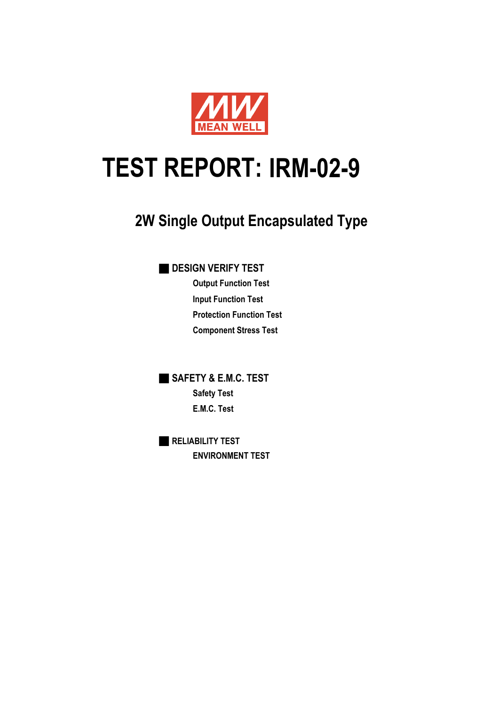

# **IRM-02-9 TEST REPORT:**

# **2W Single Output Encapsulated Type**

■ **DESIGN VERIFY TEST**

**Output Function Test Input Function Test Protection Function Test Component Stress Test**

■ **SAFETY & E.M.C. TEST Safety Test E.M.C. Test**

■ **RELIABILITY TEST ENVIRONMENT TEST**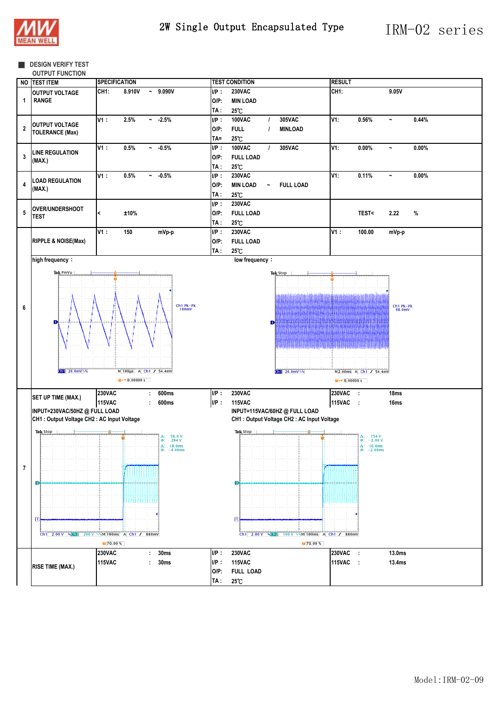

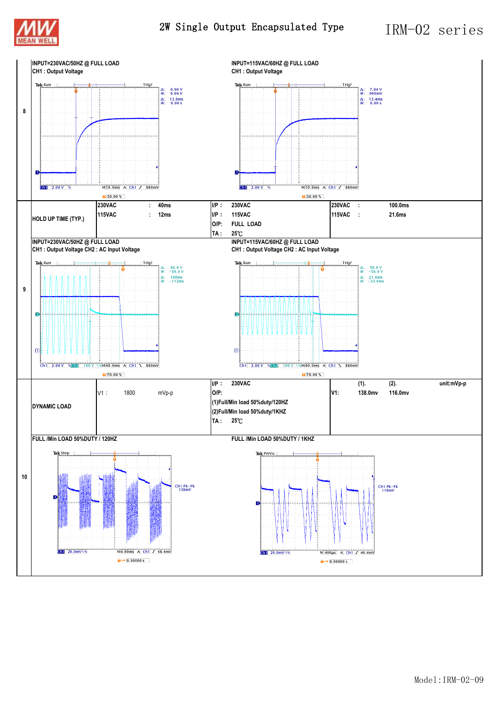

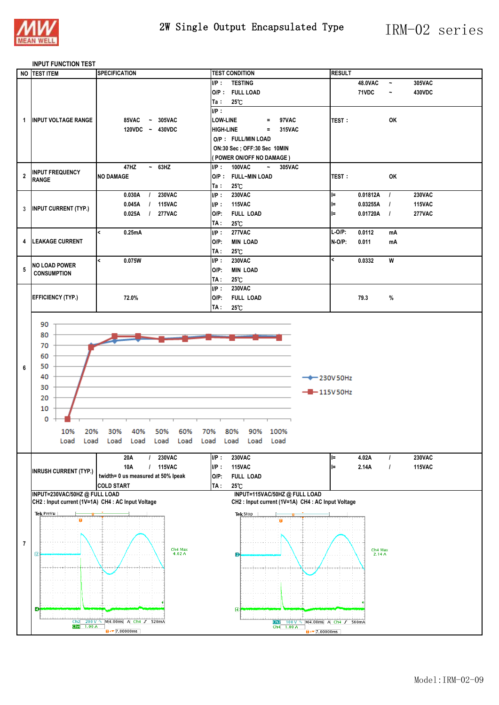

#### **INPUT FUNCTION TEST**

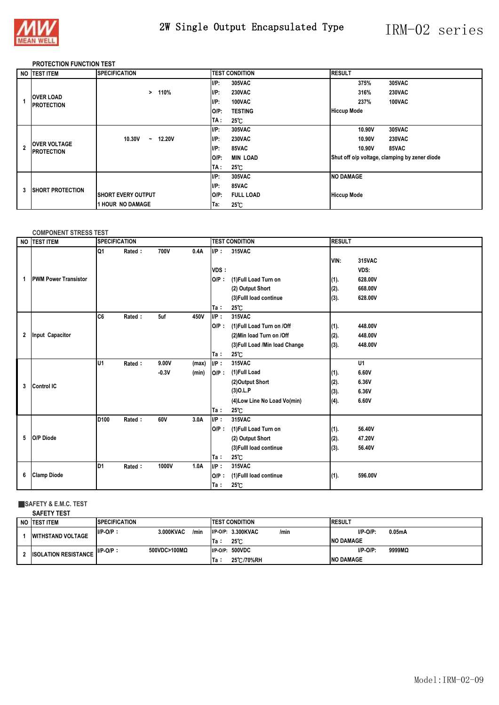

# 2W Single Output Encapsulated Type IRM-02 series

### **PROTECTION FUNCTION TEST**

|                | NO TEST ITEM                             | <b>SPECIFICATION</b>                             | <b>TEST CONDITION</b>       | <b>RESULT</b>                                 |
|----------------|------------------------------------------|--------------------------------------------------|-----------------------------|-----------------------------------------------|
|                |                                          |                                                  | $I/P$ :<br>305VAC           | 305VAC<br>375%                                |
|                |                                          | 110%<br>$\geq$                                   | $I/P$ :<br><b>230VAC</b>    | <b>230VAC</b><br>316%                         |
|                | <b>OVER LOAD</b><br><b>PROTECTION</b>    |                                                  | $I/P$ :<br>100VAC           | 237%<br>100VAC                                |
|                |                                          |                                                  | $O/P$ :<br><b>TESTING</b>   | <b>Hiccup Mode</b>                            |
|                |                                          |                                                  | TA :<br>$25^{\circ}$ C      |                                               |
|                |                                          |                                                  | $I/P$ :<br>305VAC           | 10.90V<br>305VAC                              |
|                |                                          | 10.30V<br><b>12.20V</b><br>$\tilde{\phantom{a}}$ | I/P:<br><b>230VAC</b>       | 10.90V<br><b>230VAC</b>                       |
| $\overline{2}$ | <b>OVER VOLTAGE</b><br><b>PROTECTION</b> |                                                  | $I/P$ :<br>85VAC            | 10.90V<br>85VAC                               |
|                |                                          |                                                  | O/P:<br><b>MIN LOAD</b>     | Shut off o/p voltage, clamping by zener diode |
|                |                                          |                                                  | TA :<br>$25^{\circ}$ C      |                                               |
|                |                                          |                                                  | $I/P$ :<br>305VAC           | <b>NO DAMAGE</b>                              |
| 3              | <b>ISHORT PROTECTION</b>                 |                                                  | $I/P$ :<br>85VAC            |                                               |
|                |                                          | <b>ISHORT EVERY OUTPUT</b>                       | $O/P$ :<br><b>FULL LOAD</b> | <b>Hiccup Mode</b>                            |
|                |                                          | <b>1 HOUR NO DAMAGE</b>                          | Ta:<br>$25^{\circ}$ C       |                                               |

#### **COMPONENT STRESS TEST**

|              | NO <b>ITEST ITEM</b>        | <b>SPECIFICATION</b> |        |                  |                |                            | <b>TEST CONDITION</b>                                                                                                  |                              | <b>RESULT</b>                                   |  |  |
|--------------|-----------------------------|----------------------|--------|------------------|----------------|----------------------------|------------------------------------------------------------------------------------------------------------------------|------------------------------|-------------------------------------------------|--|--|
| 1            | <b>PWM Power Transistor</b> | Q1                   | Rated: | 700V             | 0.4A           | $I/P$ :<br>VDS:<br>$O/P$ : | 315VAC<br>(1) Full Load Turn on<br>(2) Output Short<br>(3) Fulll load continue                                         | VIN:<br>(1).<br>(2).<br>(3). | 315VAC<br>VDS:<br>628.00V<br>668.00V<br>628.00V |  |  |
|              |                             |                      |        |                  |                | Ta :                       | $25^\circ$ C                                                                                                           |                              |                                                 |  |  |
| $\mathbf{2}$ | Input Capacitor             | IC6                  | Rated: | 5uf              | 450V           | UP:<br>$O/P$ :<br>Ta:      | 315VAC<br>(1) Full Load Turn on /Off<br>(2) Min load Turn on /Off<br>(3) Full Load / Min load Change<br>$25^{\circ}$ C | (1).<br>(2).<br>(3).         | 448.00V<br>448.00V<br>448.00V                   |  |  |
| 3            | <b>Control IC</b>           | lu1                  | Rated: | 9.00V<br>$-0.3V$ | (max)<br>(min) | IP:<br>$O/P$ :<br>Ta:      | 315VAC<br>(1)Full Load<br>(2)Output Short<br>$(3)$ O.L.P<br>(4) Low Line No Load Vo(min)<br>25°C                       | (1).<br>(2).<br>(3).<br>(4). | U1<br>6.60V<br>6.36V<br>6.36V<br>6.60V          |  |  |
| 5            | O/P Diode                   | D <sub>100</sub>     | Rated: | 60V              | 3.0A           | UP:<br>$O/P$ :<br>Ta:      | 315VAC<br>(1)Full Load Turn on<br>(2) Output Short<br>(3) Fulll load continue<br>25°C                                  | (1).<br>(2).<br>(3).         | 56.40V<br>47.20V<br>56.40V                      |  |  |
| 6            | <b>Clamp Diode</b>          | ID1                  | Rated: | 1000V            | 1.0A           | IP:<br>$O/P$ :<br>Ta:      | 315VAC<br>(1) Fulll load continue<br>$25^{\circ}$ C                                                                    | (1).                         | 596.00V                                         |  |  |

## ■**SAFETY & E.M.C. TEST**

| NO ITEST ITEM               | <b>SPECIFICATION</b>      |       | <b>ITEST CONDITION</b> |                    |      | <b>IRESUL</b>    |             |        |
|-----------------------------|---------------------------|-------|------------------------|--------------------|------|------------------|-------------|--------|
| <b>WITHSTAND VOLTAGE</b>    | 3.000KVAC<br>$I/P-O/P$ :  | /min  |                        | I/P-O/P: 3.300KVAC | /min |                  | $I/P-O/P$ : | 0.05mA |
|                             |                           | ۱Та.  |                        | $25^\circ$ C       |      | <b>NO DAMAGE</b> |             |        |
| <b>ISOLATION RESISTANCE</b> | $I/P-O/P$<br>500VDC>100MΩ |       | $I/P-O/P$ :            | <b>500VDC</b>      |      |                  | $I/P-O/P$ : | 9999MQ |
|                             |                           | lTa : |                        | 25 C/70%RH         |      | <b>NO DAMAGE</b> |             |        |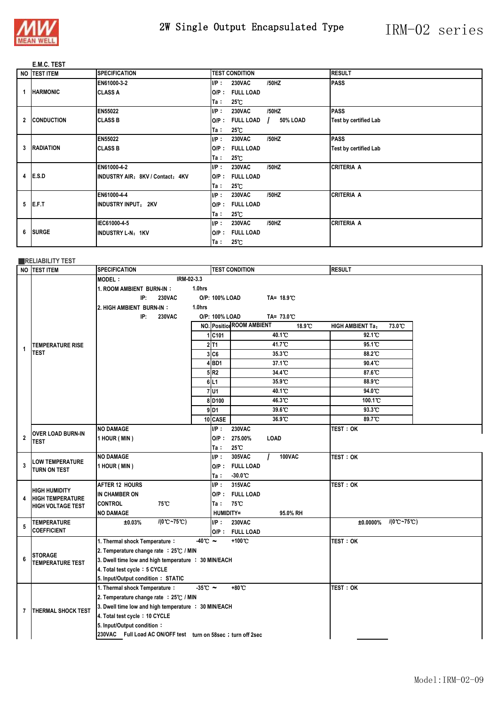

# 2W Single Output Encapsulated Type IRM-02 series

### **E.M.C. TEST**

|  | NO ITEST ITEM | <b>SPECIFICATION</b>             |         | <b>TEST CONDITION</b> |                      | <b>RESULT</b>                |
|--|---------------|----------------------------------|---------|-----------------------|----------------------|------------------------------|
|  |               | EN61000-3-2                      | IP:     | <b>230VAC</b>         | /50HZ                | <b>PASS</b>                  |
|  | 1 HARMONIC    | <b>CLASS A</b>                   | $O/P$ : | <b>FULL LOAD</b>      |                      |                              |
|  |               |                                  | Ta∶     | $25^{\circ}$ C        |                      |                              |
|  |               | EN55022                          | UP:     | <b>230VAC</b>         | /50HZ                | <b>PASS</b>                  |
|  | 2 CONDUCTION  | <b>CLASS B</b>                   | $O/P$ : | <b>FULL LOAD</b>      | 50% LOAD<br>$\prime$ | <b>Test by certified Lab</b> |
|  |               |                                  | Ta :    | $25^{\circ}$ C        |                      |                              |
|  |               | <b>EN55022</b>                   | IP:     | <b>230VAC</b>         | /50HZ                | <b>PASS</b>                  |
|  | 3 RADIATION   | <b>CLASS B</b>                   | $O/P$ : | <b>FULL LOAD</b>      |                      | Test by certified Lab        |
|  |               |                                  | Ta∶     | $25^{\circ}$ C        |                      |                              |
|  |               | EN61000-4-2                      | IP:     | <b>230VAC</b>         | /50HZ                | <b>CRITERIA A</b>            |
|  | 4 E.S.D       | INDUSTRY AIR: 8KV / Contact: 4KV | $O/P$ : | <b>FULL LOAD</b>      |                      |                              |
|  |               |                                  | Ta∶     | $25^{\circ}$ C        |                      |                              |
|  |               | EN61000-4-4                      | IP:     | <b>230VAC</b>         | /50HZ                | <b>CRITERIA A</b>            |
|  | $5$ E.F.T     | INDUSTRY INPUT: 2KV              | $O/P$ : | <b>FULL LOAD</b>      |                      |                              |
|  |               |                                  | Ta ∶    | $25^{\circ}$ C        |                      |                              |
|  |               | IEC61000-4-5                     | IP:     | <b>230VAC</b>         | /50HZ                | <b>CRITERIA A</b>            |
|  | 6 SURGE       | INDUSTRY L-N: 1KV                | $O/P$ : | <b>FULL LOAD</b>      |                      |                              |
|  |               |                                  | Ta∶     | $25^{\circ}$ C        |                      |                              |

### **EXPLIABILITY TEST**

|                | NO TEST ITEM                     | <b>SPECIFICATION</b>                                                    |                      |                    | <b>TEST CONDITION</b>                      | <b>RESULT</b>                             |
|----------------|----------------------------------|-------------------------------------------------------------------------|----------------------|--------------------|--------------------------------------------|-------------------------------------------|
|                |                                  | IRM-02-3.3<br><b>MODEL:</b>                                             |                      |                    |                                            |                                           |
|                |                                  | 1. ROOM AMBIENT BURN-IN:                                                | 1.0hrs               |                    |                                            |                                           |
|                |                                  | IP:<br><b>230VAC</b>                                                    |                      | O/P: 100% LOAD     | TA= 18.9°C                                 |                                           |
|                |                                  | 2. HIGH AMBIENT BURN-IN:                                                | 1.0hrs               |                    |                                            |                                           |
|                |                                  | IP:<br><b>230VAC</b>                                                    |                      | O/P: 100% LOAD     | TA= 73.0℃                                  |                                           |
|                |                                  |                                                                         |                      |                    | <b>NO.</b> Position ROOM AMBIENT<br>18.9°C | 73.0 C<br><b>HIGH AMBIENT Ta:</b>         |
|                |                                  |                                                                         |                      | 1 C101             | 40.1 C                                     | 92.1 C                                    |
| 1              | <b>TEMPERATURE RISE</b>          |                                                                         |                      | $2$ T <sub>1</sub> | 41.7 <sup>°</sup> C                        | 95.1 C                                    |
|                | <b>TEST</b>                      |                                                                         |                      | 3CC6               | 35.3 C                                     | 88.2°C                                    |
|                |                                  |                                                                         |                      | $4$ BD1            | 37.1 C                                     | 90.4 C                                    |
|                |                                  |                                                                         |                      | 5R2                | 34.4 C                                     | 87.6 °C                                   |
|                |                                  |                                                                         |                      | 6 L1               | 35.9 C                                     | 88.9 C                                    |
|                |                                  |                                                                         |                      | $7$ U <sub>1</sub> | 40.1 C                                     | 94.0 °C                                   |
|                |                                  |                                                                         |                      | 8 D <sub>100</sub> | 46.3 C                                     | 100.1°C                                   |
|                |                                  |                                                                         |                      | $9$ D1             | 39.6 °C                                    | 93.3 C                                    |
|                |                                  |                                                                         |                      | 10 CASE            | 36.9 °C                                    | 89.7°C                                    |
|                | <b>OVER LOAD BURN-IN</b><br>TEST | <b>NO DAMAGE</b>                                                        |                      | UP:                | <b>230VAC</b>                              | <b>TEST: OK</b>                           |
| $\overline{2}$ |                                  | 1 HOUR (MIN)                                                            |                      | $O/P$ :            | 275.00%<br><b>LOAD</b>                     |                                           |
|                |                                  |                                                                         |                      | Ta :               | $25^{\circ}$                               |                                           |
|                | LOW TEMPERATURE                  | <b>NO DAMAGE</b>                                                        |                      | UP:                | 305VAC<br><b>100VAC</b>                    | <b>TEST : OK</b>                          |
| 3              | TURN ON TEST                     | 1 HOUR (MIN)                                                            |                      |                    | O/P: FULL LOAD                             |                                           |
|                |                                  |                                                                         |                      | Ta :               | $-30.0^{\circ}$ C                          |                                           |
|                | <b>HIGH HUMIDITY</b>             | <b>AFTER 12 HOURS</b>                                                   |                      | IP:                | 315VAC                                     | <b>TEST : OK</b>                          |
| 4              | <b>HIGH TEMPERATURE</b>          | IN CHAMBER ON                                                           |                      |                    | O/P: FULL LOAD                             |                                           |
|                | <b>HIGH VOLTAGE TEST</b>         | <b>CONTROL</b><br>75℃                                                   |                      | Ta:                | 75°C                                       |                                           |
|                |                                  | <b>NO DAMAGE</b>                                                        |                      | HUMIDITY=          | 95.0% RH                                   |                                           |
| 5              | <b>TEMPERATURE</b>               | $/(0^{\circ}C - 75^{\circ}C)$<br>±0.03%                                 |                      | UP:                | <b>230VAC</b>                              | $/(0^{\circ}C - 75^{\circ}C)$<br>±0.0000% |
|                | <b>COEFFICIENT</b>               |                                                                         |                      | $O/P$ :            | <b>FULL LOAD</b>                           |                                           |
|                |                                  | 1. Thermal shock Temperature:                                           | $-40^\circ$ C $\sim$ |                    | +100 °C                                    | test : ok                                 |
| 6              | <b>STORAGE</b>                   | 2. Temperature change rate : 25℃ / MIN                                  |                      |                    |                                            |                                           |
|                | <b>TEMPERATURE TEST</b>          | 3. Dwell time low and high temperature : 30 MIN/EACH                    |                      |                    |                                            |                                           |
|                |                                  | 4. Total test cycle: 5 CYCLE                                            |                      |                    |                                            |                                           |
|                |                                  | 5. Input/Output condition: STATIC                                       |                      |                    |                                            |                                           |
|                |                                  | 1. Thermal shock Temperature:<br>2. Temperature change rate : 25℃ / MIN | $-35^{\circ}$ C ~    |                    | +80°C                                      | <b>TEST: OK</b>                           |
|                |                                  |                                                                         |                      |                    |                                            |                                           |
| 7              | <b>THERMAL SHOCK TEST</b>        | 3. Dwell time low and high temperature : 30 MIN/EACH                    |                      |                    |                                            |                                           |
|                |                                  | 4. Total test cycle: 10 CYCLE                                           |                      |                    |                                            |                                           |
|                |                                  | 5. Input/Output condition:                                              |                      |                    |                                            |                                           |
|                |                                  | 230VAC Full Load AC ON/OFF test turn on 58sec ; turn off 2sec           |                      |                    |                                            |                                           |